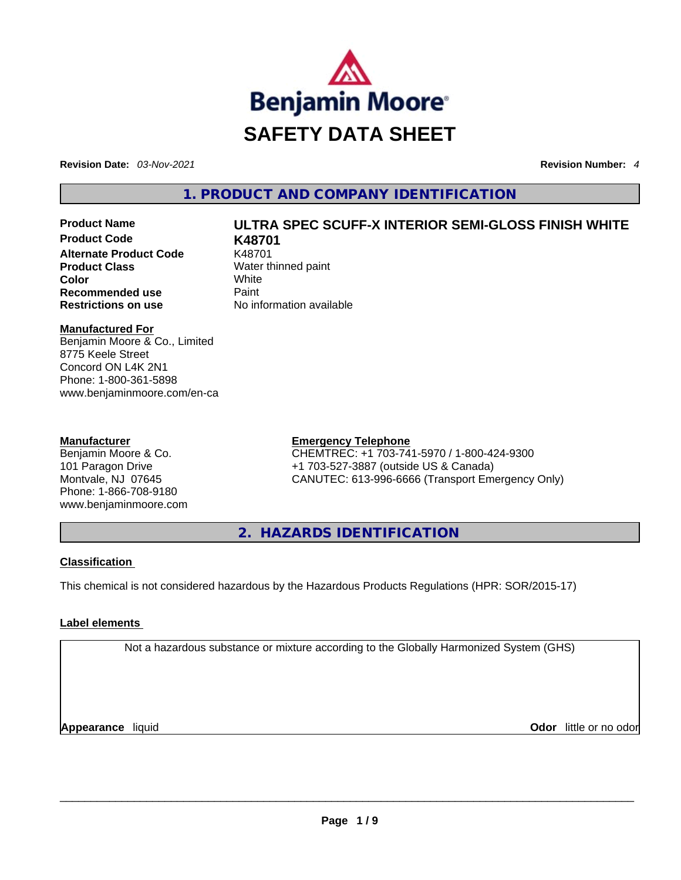

**Revision Date:** *03-Nov-2021* **Revision Number:** *4*

**1. PRODUCT AND COMPANY IDENTIFICATION** 

**Product Code K48701 Alternate Product Code** K48701 **Product Class Water thinned paint Color** White **Recommended use Paint Restrictions on use** No information available

## **Product Name ULTRA SPEC SCUFF-X INTERIOR SEMI-GLOSS FINISH WHITE**

#### **Manufactured For**

Benjamin Moore & Co., Limited 8775 Keele Street Concord ON L4K 2N1 Phone: 1-800-361-5898 www.benjaminmoore.com/en-ca

#### **Manufacturer**

Benjamin Moore & Co. 101 Paragon Drive Montvale, NJ 07645 Phone: 1-866-708-9180 www.benjaminmoore.com

#### **Emergency Telephone**

CHEMTREC: +1 703-741-5970 / 1-800-424-9300 +1 703-527-3887 (outside US & Canada) CANUTEC: 613-996-6666 (Transport Emergency Only)

**2. HAZARDS IDENTIFICATION** 

#### **Classification**

This chemical is not considered hazardous by the Hazardous Products Regulations (HPR: SOR/2015-17)

#### **Label elements**

Not a hazardous substance or mixture according to the Globally Harmonized System (GHS)

**Appearance** liquid **Odor** little or no odor \_\_\_\_\_\_\_\_\_\_\_\_\_\_\_\_\_\_\_\_\_\_\_\_\_\_\_\_\_\_\_\_\_\_\_\_\_\_\_\_\_\_\_\_\_\_\_\_\_\_\_\_\_\_\_\_\_\_\_\_\_\_\_\_\_\_\_\_\_\_\_\_\_\_\_\_\_\_\_\_\_\_\_\_\_\_\_\_\_\_\_\_\_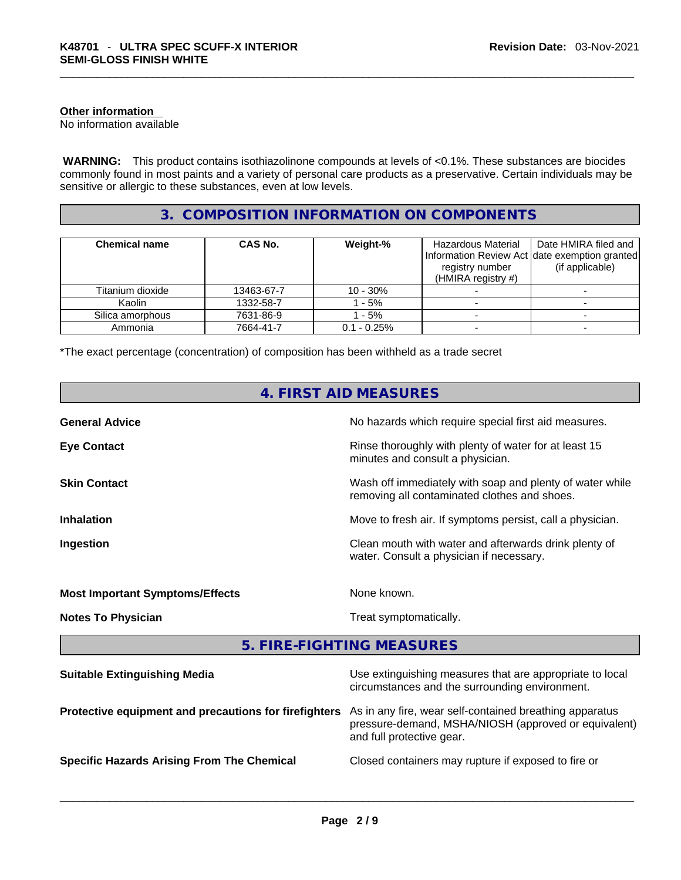#### **Other information**

No information available

 **WARNING:** This product contains isothiazolinone compounds at levels of <0.1%. These substances are biocides commonly found in most paints and a variety of personal care products as a preservative. Certain individuals may be sensitive or allergic to these substances, even at low levels.

#### **3. COMPOSITION INFORMATION ON COMPONENTS**

| <b>Chemical name</b> | CAS No.    | Weight-%       | Hazardous Material<br>registry number<br>(HMIRA registry $#$ ) | Date HMIRA filed and<br>Information Review Act date exemption granted<br>(if applicable) |
|----------------------|------------|----------------|----------------------------------------------------------------|------------------------------------------------------------------------------------------|
| Titanium dioxide     | 13463-67-7 | $10 - 30\%$    |                                                                |                                                                                          |
| Kaolin               | 1332-58-7  | - 5%           |                                                                |                                                                                          |
| Silica amorphous     | 7631-86-9  | - 5%           |                                                                |                                                                                          |
| Ammonia              | 7664-41-7  | $0.1 - 0.25\%$ |                                                                |                                                                                          |

\*The exact percentage (concentration) of composition has been withheld as a trade secret

|                                                       | 4. FIRST AID MEASURES                                                                                                                        |
|-------------------------------------------------------|----------------------------------------------------------------------------------------------------------------------------------------------|
| <b>General Advice</b>                                 | No hazards which require special first aid measures.                                                                                         |
| <b>Eye Contact</b>                                    | Rinse thoroughly with plenty of water for at least 15<br>minutes and consult a physician.                                                    |
| <b>Skin Contact</b>                                   | Wash off immediately with soap and plenty of water while<br>removing all contaminated clothes and shoes.                                     |
| Inhalation                                            | Move to fresh air. If symptoms persist, call a physician.                                                                                    |
| Ingestion                                             | Clean mouth with water and afterwards drink plenty of<br>water. Consult a physician if necessary.                                            |
| <b>Most Important Symptoms/Effects</b>                | None known.                                                                                                                                  |
| <b>Notes To Physician</b>                             | Treat symptomatically.                                                                                                                       |
|                                                       | 5. FIRE-FIGHTING MEASURES                                                                                                                    |
| <b>Suitable Extinguishing Media</b>                   | Use extinguishing measures that are appropriate to local<br>circumstances and the surrounding environment.                                   |
| Protective equipment and precautions for firefighters | As in any fire, wear self-contained breathing apparatus<br>pressure-demand, MSHA/NIOSH (approved or equivalent)<br>and full protective gear. |
| <b>Specific Hazards Arising From The Chemical</b>     | Closed containers may rupture if exposed to fire or                                                                                          |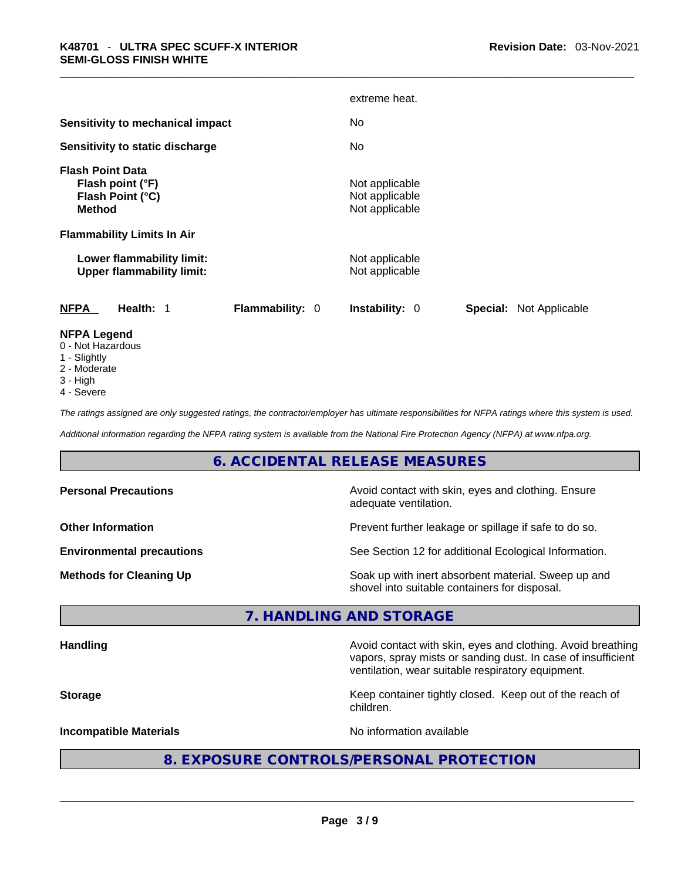|                                                                                                    | extreme heat.                                           |
|----------------------------------------------------------------------------------------------------|---------------------------------------------------------|
| <b>Sensitivity to mechanical impact</b>                                                            | No.                                                     |
| Sensitivity to static discharge                                                                    | No.                                                     |
| <b>Flash Point Data</b><br>Flash point (°F)<br>Flash Point (°C)<br><b>Method</b>                   | Not applicable<br>Not applicable<br>Not applicable      |
| <b>Flammability Limits In Air</b><br>Lower flammability limit:<br><b>Upper flammability limit:</b> | Not applicable<br>Not applicable                        |
| <b>NFPA</b><br><b>Flammability: 0</b><br>Health: 1                                                 | <b>Special: Not Applicable</b><br><b>Instability: 0</b> |
| <b>NFPA Legend</b>                                                                                 |                                                         |

- 0 Not Hazardous
- 1 Slightly
- 2 Moderate
- 3 High
- 4 Severe

*The ratings assigned are only suggested ratings, the contractor/employer has ultimate responsibilities for NFPA ratings where this system is used.* 

*Additional information regarding the NFPA rating system is available from the National Fire Protection Agency (NFPA) at www.nfpa.org.* 

#### **6. ACCIDENTAL RELEASE MEASURES**

| <b>Personal Precautions</b>      | Avoid contact with skin, eyes and clothing. Ensure<br>adequate ventilation.                          |
|----------------------------------|------------------------------------------------------------------------------------------------------|
| <b>Other Information</b>         | Prevent further leakage or spillage if safe to do so.                                                |
| <b>Environmental precautions</b> | See Section 12 for additional Ecological Information.                                                |
| <b>Methods for Cleaning Up</b>   | Soak up with inert absorbent material. Sweep up and<br>shovel into suitable containers for disposal. |

#### **7. HANDLING AND STORAGE**

Handling **Handling Avoid contact with skin, eyes and clothing. Avoid breathing Handling** vapors, spray mists or sanding dust. In case of insufficient ventilation, wear suitable respiratory equipment.

**Storage Keep container tightly closed. Keep out of the reach of the reach of the reach of** children.

**Incompatible Materials Materials** No information available

## **8. EXPOSURE CONTROLS/PERSONAL PROTECTION**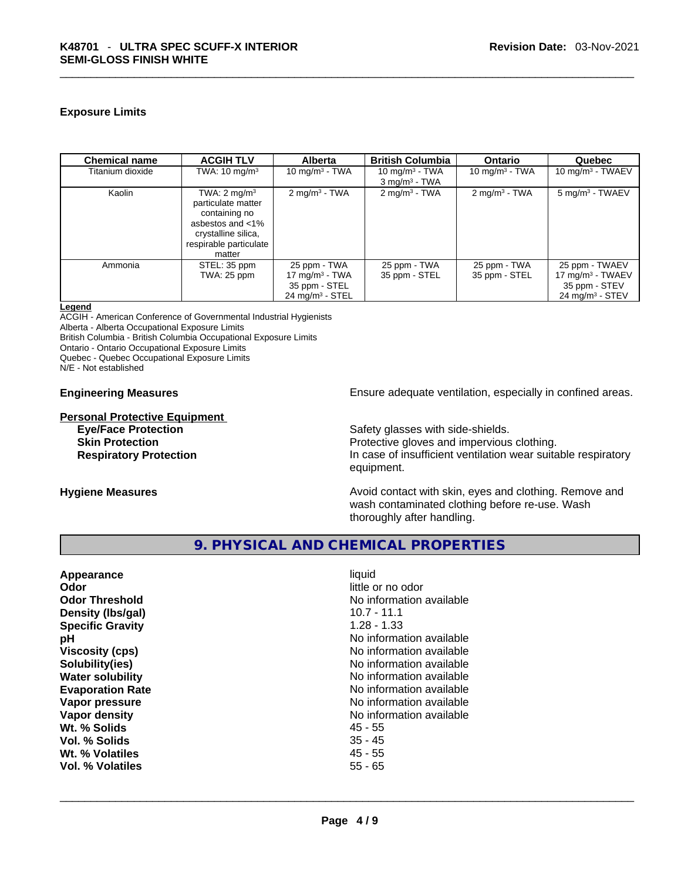#### **Exposure Limits**

| <b>Chemical name</b> | <b>ACGIH TLV</b>                                                                                                                              | <b>Alberta</b>                                                                   | <b>British Columbia</b>                          | <b>Ontario</b>                | Quebec                                                                                  |
|----------------------|-----------------------------------------------------------------------------------------------------------------------------------------------|----------------------------------------------------------------------------------|--------------------------------------------------|-------------------------------|-----------------------------------------------------------------------------------------|
| Titanium dioxide     | TWA: $10 \text{ mg/m}^3$                                                                                                                      | 10 mg/m $3$ - TWA                                                                | 10 mg/m $3$ - TWA<br>$3$ mg/m <sup>3</sup> - TWA | 10 mg/m $3$ - TWA             | 10 mg/m $3$ - TWAEV                                                                     |
| Kaolin               | TWA: $2 \text{ mg/m}^3$<br>particulate matter<br>containing no<br>asbestos and <1%<br>crystalline silica,<br>respirable particulate<br>matter | $2 \text{mq/m}^3$ - TWA                                                          | $2 \text{mq/m}^3$ - TWA                          | $2$ mg/m <sup>3</sup> - TWA   | $5 \text{ mg/m}^3$ - TWAEV                                                              |
| Ammonia              | STEL: 35 ppm<br>TWA: 25 ppm                                                                                                                   | 25 ppm - TWA<br>17 mg/m $3$ - TWA<br>35 ppm - STEL<br>$24 \text{ mg/m}^3$ - STEL | 25 ppm - TWA<br>35 ppm - STEL                    | 25 ppm - TWA<br>35 ppm - STEL | 25 ppm - TWAEV<br>17 mg/m $3$ - TWAEV<br>35 ppm - STEV<br>$24$ mg/m <sup>3</sup> - STEV |

#### **Legend**

ACGIH - American Conference of Governmental Industrial Hygienists

Alberta - Alberta Occupational Exposure Limits

British Columbia - British Columbia Occupational Exposure Limits

Ontario - Ontario Occupational Exposure Limits

Quebec - Quebec Occupational Exposure Limits

N/E - Not established

# **Personal Protective Equipment**

**Engineering Measures Ensure 2018** Ensure adequate ventilation, especially in confined areas.

Safety glasses with side-shields.

**Skin Protection Protective gloves and impervious clothing. Respiratory Protection In case of insufficient ventilation wear suitable respiratory** equipment.

**Hygiene Measures Avoid contact with skin, eyes and clothing. Remove and Avoid contact with skin, eyes and clothing. Remove and Avoid contact with skin, eyes and clothing. Remove and** wash contaminated clothing before re-use. Wash thoroughly after handling.

#### **9. PHYSICAL AND CHEMICAL PROPERTIES**

| Appearance              | liquid                   |
|-------------------------|--------------------------|
| Odor                    | little or no odor        |
| <b>Odor Threshold</b>   | No information available |
| Density (Ibs/gal)       | $10.7 - 11.1$            |
| <b>Specific Gravity</b> | $1.28 - 1.33$            |
| рH                      | No information available |
| <b>Viscosity (cps)</b>  | No information available |
| Solubility(ies)         | No information available |
| <b>Water solubility</b> | No information available |
| <b>Evaporation Rate</b> | No information available |
| Vapor pressure          | No information available |
| Vapor density           | No information available |
| Wt. % Solids            | 45 - 55                  |
| Vol. % Solids           | $35 - 45$                |
| Wt. % Volatiles         | $45 - 55$                |
| Vol. % Volatiles        | $55 - 65$                |
|                         |                          |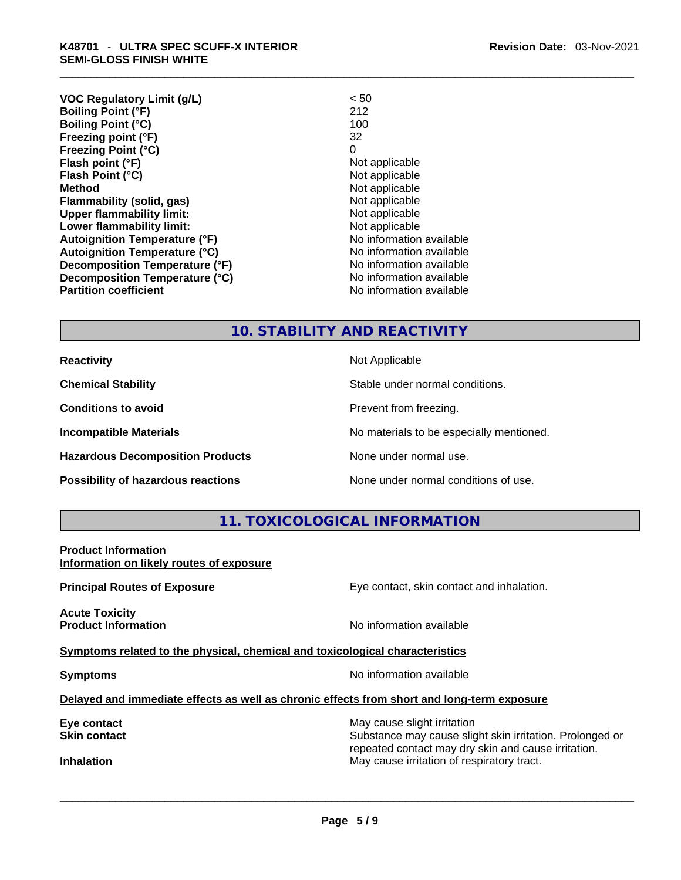| <b>VOC Regulatory Limit (g/L)</b>    | < 50                     |
|--------------------------------------|--------------------------|
| <b>Boiling Point (°F)</b>            | 212                      |
| <b>Boiling Point (°C)</b>            | 100                      |
| Freezing point (°F)                  | 32                       |
| Freezing Point (°C)                  | 0                        |
| Flash point (°F)                     | Not applicable           |
| Flash Point (°C)                     | Not applicable           |
| Method                               | Not applicable           |
| <b>Flammability (solid, gas)</b>     | Not applicable           |
| <b>Upper flammability limit:</b>     | Not applicable           |
| Lower flammability limit:            | Not applicable           |
| <b>Autoignition Temperature (°F)</b> | No information available |
| <b>Autoignition Temperature (°C)</b> | No information available |
| Decomposition Temperature (°F)       | No information available |
| Decomposition Temperature (°C)       | No information available |
| <b>Partition coefficient</b>         | No information available |

#### **10. STABILITY AND REACTIVITY**

**Hazardous Decomposition Products** None under normal use.

**Reactivity Not Applicable Not Applicable** 

**Chemical Stability** Stable under normal conditions.

**Conditions to avoid Prevent from freezing.** 

**Incompatible Materials Materials No materials to be especially mentioned.** 

**Possibility of hazardous reactions** None under normal conditions of use.

#### **11. TOXICOLOGICAL INFORMATION**

**Product Information Information on likely routes of exposure**

**Acute Toxicity Product Information Information No information available** 

**Principal Routes of Exposure Exposure** Eye contact, skin contact and inhalation.

**<u>Symptoms related to the physical, chemical and toxicological characteristics</u>** 

**Symptoms Symptoms No information available** 

**Delayed and immediate effects as well as chronic effects from short and long-term exposure**

**Eye contact** May cause slight irritation **Eye** contact **May cause slight irritation** 

**Skin contact Substance may cause slight skin irritation. Prolonged or** Substance may cause slight skin irritation. Prolonged or repeated contact may dry skin and cause irritation. **Inhalation** May cause irritation of respiratory tract. \_\_\_\_\_\_\_\_\_\_\_\_\_\_\_\_\_\_\_\_\_\_\_\_\_\_\_\_\_\_\_\_\_\_\_\_\_\_\_\_\_\_\_\_\_\_\_\_\_\_\_\_\_\_\_\_\_\_\_\_\_\_\_\_\_\_\_\_\_\_\_\_\_\_\_\_\_\_\_\_\_\_\_\_\_\_\_\_\_\_\_\_\_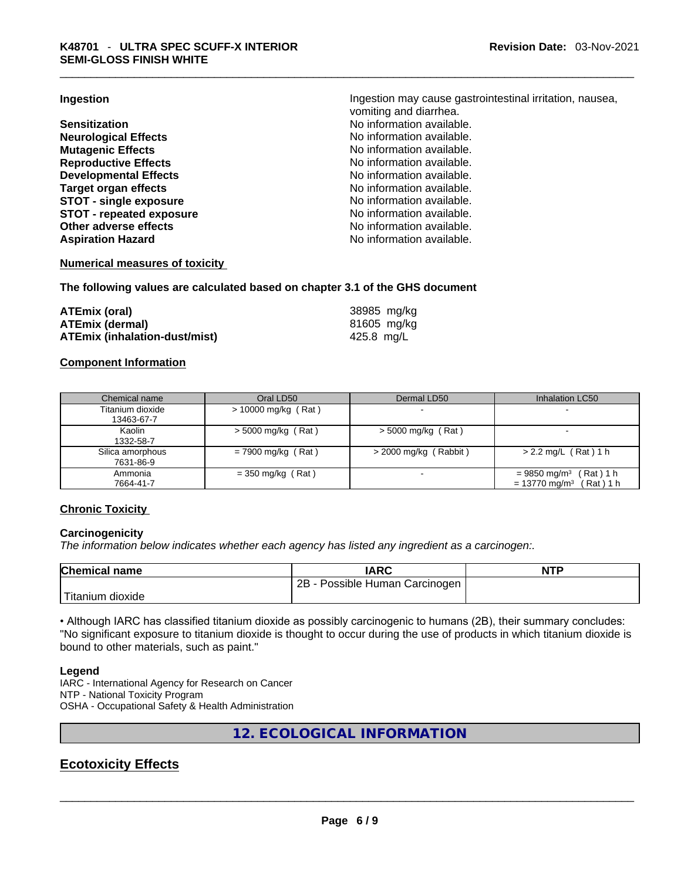**Neurological Effects** No information available. **Mutagenic Effects Mutagenic Effects No information available. Reproductive Effects No information available. Developmental Effects No information available. Target organ effects**<br> **STOT - single exposure**<br> **STOT - single exposure**<br> **No information available. STOT** - single exposure<br> **STOT** - repeated exposure<br> **STOT** - repeated exposure<br>
No information available. **STOT** - repeated exposure **Other adverse effects No information available.** Aspiration Hazard **Aspiration Hazard No information available.** 

**Ingestion Ingestion Ingestion may cause gastrointestinal irritation**, nausea, vomiting and diarrhea. **Sensitization No information available. No information available.** 

#### **Numerical measures of toxicity**

**The following values are calculated based on chapter 3.1 of the GHS document**

| ATEmix (oral)                        | 38985 mg/kg |
|--------------------------------------|-------------|
| <b>ATEmix (dermal)</b>               | 81605 mg/kg |
| <b>ATEmix (inhalation-dust/mist)</b> | 425.8 mg/L  |

#### **Component Information**

| Chemical name    | Oral LD50            | Dermal LD50              | Inhalation LC50                         |
|------------------|----------------------|--------------------------|-----------------------------------------|
| Titanium dioxide | > 10000 mg/kg (Rat)  | $\,$                     |                                         |
| 13463-67-7       |                      |                          |                                         |
| Kaolin           | $>$ 5000 mg/kg (Rat) | $>$ 5000 mg/kg (Rat)     |                                         |
| 1332-58-7        |                      |                          |                                         |
| Silica amorphous | $= 7900$ mg/kg (Rat) | $>$ 2000 mg/kg (Rabbit)  | $> 2.2$ mg/L (Rat) 1 h                  |
| 7631-86-9        |                      |                          |                                         |
| Ammonia          | $=$ 350 mg/kg (Rat)  | $\overline{\phantom{0}}$ | (Rat) 1 h<br>$= 9850$ mg/m <sup>3</sup> |
| 7664-41-7        |                      |                          | $= 13770$ mg/m <sup>3</sup><br>(Rat)1 h |

#### **Chronic Toxicity**

#### **Carcinogenicity**

*The information below indicates whether each agency has listed any ingredient as a carcinogen:.* 

| <b>Chemical name</b>          | IARC                            | <b>NTP</b> |
|-------------------------------|---------------------------------|------------|
|                               | 2B<br>Possible Human Carcinogen |            |
| <sup>I</sup> Titanium dioxide |                                 |            |

• Although IARC has classified titanium dioxide as possibly carcinogenic to humans (2B), their summary concludes: "No significant exposure to titanium dioxide is thought to occur during the use of products in which titanium dioxide is bound to other materials, such as paint."

#### **Legend**

IARC - International Agency for Research on Cancer NTP - National Toxicity Program OSHA - Occupational Safety & Health Administration

**12. ECOLOGICAL INFORMATION** 

## **Ecotoxicity Effects**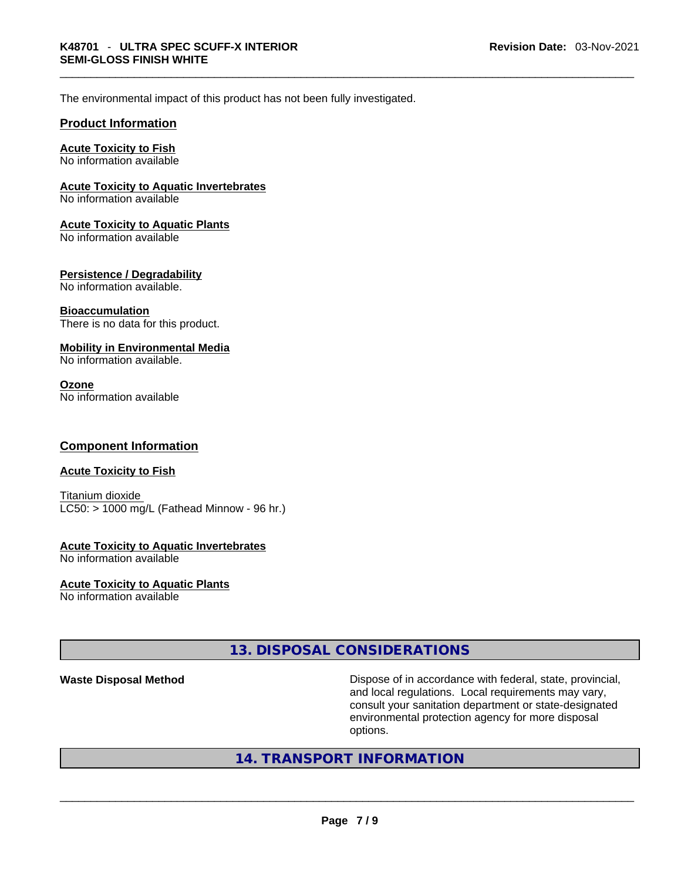The environmental impact of this product has not been fully investigated.

#### **Product Information**

#### **Acute Toxicity to Fish**

No information available

#### **Acute Toxicity to Aquatic Invertebrates**

No information available

#### **Acute Toxicity to Aquatic Plants**

No information available

#### **Persistence / Degradability**

No information available.

#### **Bioaccumulation**

There is no data for this product.

#### **Mobility in Environmental Media**

No information available.

#### **Ozone**

No information available

#### **Component Information**

#### **Acute Toxicity to Fish**

Titanium dioxide  $LC50:$  > 1000 mg/L (Fathead Minnow - 96 hr.)

## **Acute Toxicity to Aquatic Invertebrates**

No information available

#### **Acute Toxicity to Aquatic Plants**

No information available

#### **13. DISPOSAL CONSIDERATIONS**

**Waste Disposal Method** Dispose of in accordance with federal, state, provincial, and local regulations. Local requirements may vary, consult your sanitation department or state-designated environmental protection agency for more disposal

# options. \_\_\_\_\_\_\_\_\_\_\_\_\_\_\_\_\_\_\_\_\_\_\_\_\_\_\_\_\_\_\_\_\_\_\_\_\_\_\_\_\_\_\_\_\_\_\_\_\_\_\_\_\_\_\_\_\_\_\_\_\_\_\_\_\_\_\_\_\_\_\_\_\_\_\_\_\_\_\_\_\_\_\_\_\_\_\_\_\_\_\_\_\_ **14. TRANSPORT INFORMATION**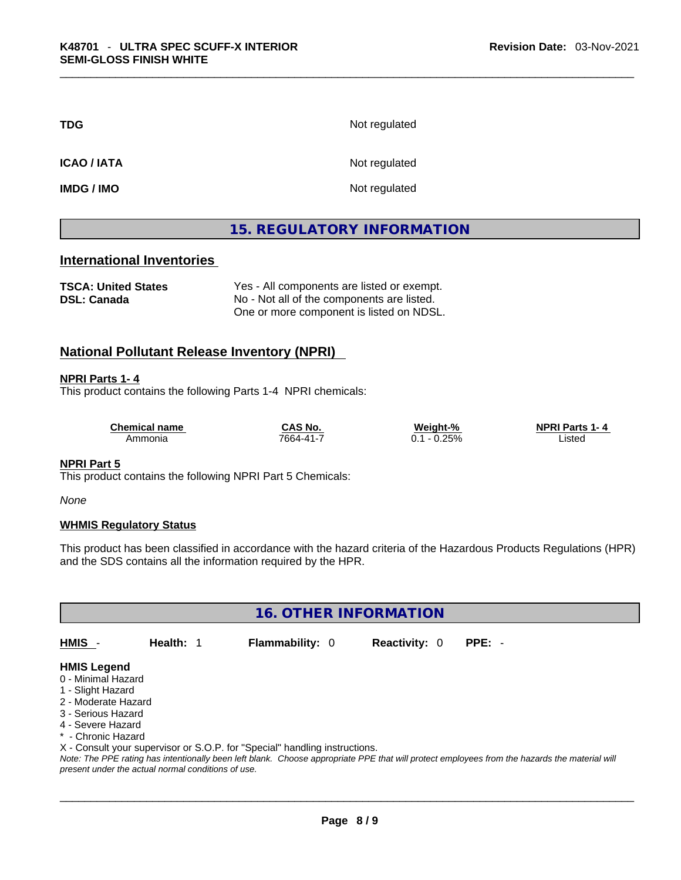| <b>TDG</b>         | Not regulated |
|--------------------|---------------|
| <b>ICAO / IATA</b> | Not regulated |
| <b>IMDG / IMO</b>  | Not regulated |

### **15. REGULATORY INFORMATION**

#### **International Inventories**

**TSCA: United States** Yes - All components are listed or exempt. **DSL: Canada** No - Not all of the components are listed. One or more component is listed on NDSL.

#### **National Pollutant Release Inventory (NPRI)**

#### **NPRI Parts 1- 4**

This product contains the following Parts 1-4 NPRI chemicals:

| <b>Chemical name</b> | CAS No.       | Weight-%    | <b>NPRI Parts 1</b><br>т. д |  |
|----------------------|---------------|-------------|-----------------------------|--|
| Ammonia              | $7664 - 41 -$ | 2.25%<br>v. | ∟isted<br>.                 |  |

#### **NPRI Part 5**

This product contains the following NPRI Part 5 Chemicals:

*None*

#### **WHMIS Regulatory Status**

This product has been classified in accordance with the hazard criteria of the Hazardous Products Regulations (HPR) and the SDS contains all the information required by the HPR.

**16. OTHER INFORMATION** 

**HMIS** - **Health:** 1 **Flammability:** 0 **Reactivity:** 0 **PPE:** -

#### **HMIS Legend**

- 0 Minimal Hazard
- 1 Slight Hazard
- 2 Moderate Hazard
- 3 Serious Hazard
- 4 Severe Hazard
- \* Chronic Hazard

X - Consult your supervisor or S.O.P. for "Special" handling instructions.

Note: The PPE rating has intentionally been left blank. Choose appropriate PPE that will protect employees from the hazards the material will *present under the actual normal conditions of use.*